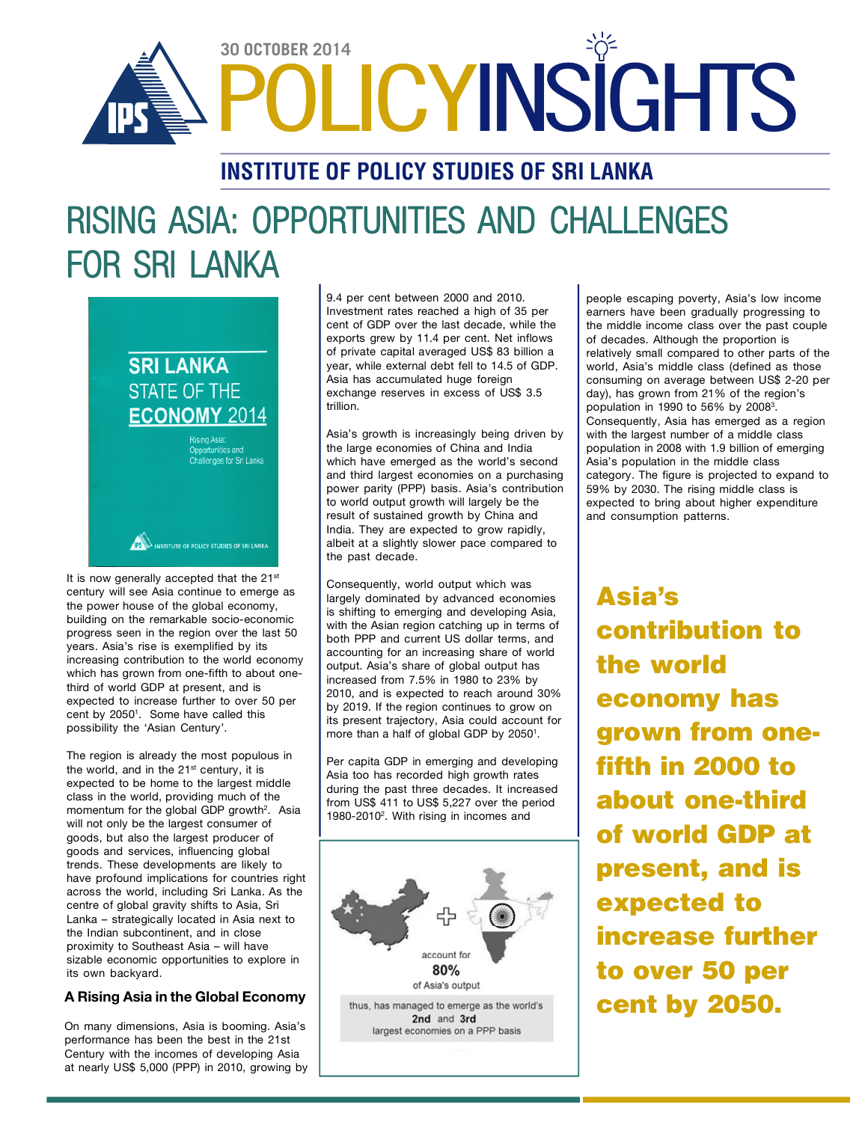

## **INSTITUTE OF POLICY STUDIES OF SRI LANKA**

# **RISING ASIA: OPPORTUNITIES AND CHALLENGES FOR SRI LANKA**

## **SRI LANKA STATE OF THE ECONOMY 2014**

Rising Asia: **Challenges for Sri Lanka** 

IN INSTITUTE OF POLICY STUDIES OF SRI LANKA

It is now generally accepted that the 21<sup>st</sup> century will see Asia continue to emerge as the power house of the global economy, building on the remarkable socio-economic progress seen in the region over the last 50 years. Asia's rise is exemplified by its increasing contribution to the world economy which has grown from one-fifth to about onethird of world GDP at present, and is expected to increase further to over 50 per cent by 2050<sup>1</sup> . Some have called this possibility the 'Asian Century'.

The region is already the most populous in the world, and in the 21<sup>st</sup> century, it is expected to be home to the largest middle class in the world, providing much of the momentum for the global GDP growth<sup>2</sup>. Asia will not only be the largest consumer of goods, but also the largest producer of goods and services, influencing global trends. These developments are likely to have profound implications for countries right across the world, including Sri Lanka. As the centre of global gravity shifts to Asia, Sri Lanka – strategically located in Asia next to the Indian subcontinent, and in close proximity to Southeast Asia – will have sizable economic opportunities to explore in its own backyard.

#### **A Rising Asia in the Global Economy**

On many dimensions, Asia is booming. Asia's performance has been the best in the 21st Century with the incomes of developing Asia at nearly US\$ 5,000 (PPP) in 2010, growing by

9.4 per cent between 2000 and 2010. Investment rates reached a high of 35 per cent of GDP over the last decade, while the exports grew by 11.4 per cent. Net inflows of private capital averaged US\$ 83 billion a year, while external debt fell to 14.5 of GDP. Asia has accumulated huge foreign exchange reserves in excess of US\$ 3.5 trillion.

Asia's growth is increasingly being driven by the large economies of China and India which have emerged as the world's second and third largest economies on a purchasing power parity (PPP) basis. Asia's contribution to world output growth will largely be the result of sustained growth by China and India. They are expected to grow rapidly, albeit at a slightly slower pace compared to the past decade.

Consequently, world output which was largely dominated by advanced economies is shifting to emerging and developing Asia, with the Asian region catching up in terms of both PPP and current US dollar terms, and accounting for an increasing share of world output. Asia's share of global output has increased from 7.5% in 1980 to 23% by 2010, and is expected to reach around 30% by 2019. If the region continues to grow on its present trajectory, Asia could account for more than a half of global GDP by 20501.

Per capita GDP in emerging and developing Asia too has recorded high growth rates during the past three decades. It increased from US\$ 411 to US\$ 5,227 over the period 1980-2010<sup>2</sup> . With rising in incomes and



people escaping poverty, Asia's low income earners have been gradually progressing to the middle income class over the past couple of decades. Although the proportion is relatively small compared to other parts of the world, Asia's middle class (defined as those consuming on average between US\$ 2-20 per day), has grown from 21% of the region's population in 1990 to 56% by 2008<sup>3</sup>. Consequently, Asia has emerged as a region with the largest number of a middle class population in 2008 with 1.9 billion of emerging Asia's population in the middle class category. The figure is projected to expand to 59% by 2030. The rising middle class is expected to bring about higher expenditure and consumption patterns.

**Asia's contribution to the world economy has grown from onefifth in 2000 to about one-third of world GDP at present, and is expected to increase further to over 50 per cent by 2050.**